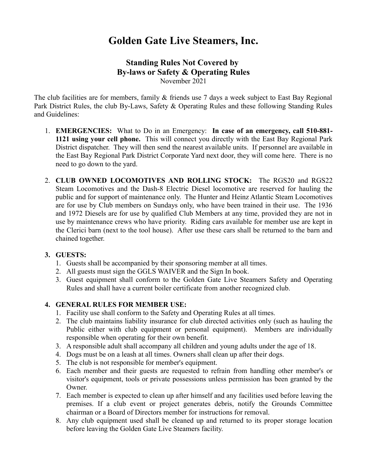# **Golden Gate Live Steamers, Inc.**

## **Standing Rules Not Covered by By-laws or Safety & Operating Rules** November 2021

The club facilities are for members, family & friends use 7 days a week subject to East Bay Regional Park District Rules, the club By-Laws, Safety & Operating Rules and these following Standing Rules and Guidelines:

- 1. **EMERGENCIES:** What to Do in an Emergency: **In case of an emergency, call 510-881- 1121 using your cell phone.** This will connect you directly with the East Bay Regional Park District dispatcher. They will then send the nearest available units. If personnel are available in the East Bay Regional Park District Corporate Yard next door, they will come here. There is no need to go down to the yard.
- 2. **CLUB OWNED LOCOMOTIVES AND ROLLING STOCK:** The RGS20 and RGS22 Steam Locomotives and the Dash-8 Electric Diesel locomotive are reserved for hauling the public and for support of maintenance only. The Hunter and Heinz Atlantic Steam Locomotives are for use by Club members on Sundays only, who have been trained in their use. The 1936 and 1972 Diesels are for use by qualified Club Members at any time, provided they are not in use by maintenance crews who have priority. Riding cars available for member use are kept in the Clerici barn (next to the tool house). After use these cars shall be returned to the barn and chained together.

### **3. GUESTS:**

- 1. Guests shall be accompanied by their sponsoring member at all times.
- 2. All guests must sign the GGLS WAIVER and the Sign In book.
- 3. Guest equipment shall conform to the Golden Gate Live Steamers Safety and Operating Rules and shall have a current boiler certificate from another recognized club.

#### **4. GENERAL RULES FOR MEMBER USE:**

- 1. Facility use shall conform to the Safety and Operating Rules at all times.
- 2. The club maintains liability insurance for club directed activities only (such as hauling the Public either with club equipment or personal equipment). Members are individually responsible when operating for their own benefit.
- 3. A responsible adult shall accompany all children and young adults under the age of 18.
- 4. Dogs must be on a leash at all times. Owners shall clean up after their dogs.
- 5. The club is not responsible for member's equipment.
- 6. Each member and their guests are requested to refrain from handling other member's or visitor's equipment, tools or private possessions unless permission has been granted by the Owner.
- 7. Each member is expected to clean up after himself and any facilities used before leaving the premises. If a club event or project generates debris, notify the Grounds Committee chairman or a Board of Directors member for instructions for removal.
- 8. Any club equipment used shall be cleaned up and returned to its proper storage location before leaving the Golden Gate Live Steamers facility.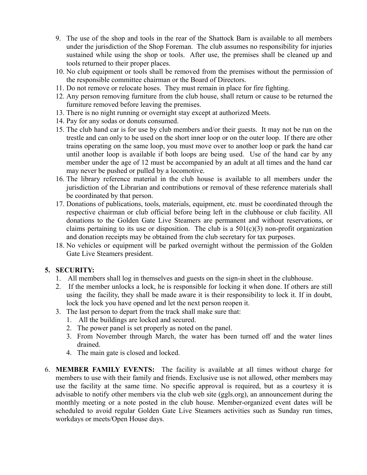- 9. The use of the shop and tools in the rear of the Shattock Barn is available to all members under the jurisdiction of the Shop Foreman. The club assumes no responsibility for injuries sustained while using the shop or tools. After use, the premises shall be cleaned up and tools returned to their proper places.
- 10. No club equipment or tools shall be removed from the premises without the permission of the responsible committee chairman or the Board of Directors.
- 11. Do not remove or relocate hoses. They must remain in place for fire fighting.
- 12. Any person removing furniture from the club house, shall return or cause to be returned the furniture removed before leaving the premises.
- 13. There is no night running or overnight stay except at authorized Meets.
- 14. Pay for any sodas or donuts consumed.
- 15. The club hand car is for use by club members and/or their guests. It may not be run on the trestle and can only to be used on the short inner loop or on the outer loop. If there are other trains operating on the same loop, you must move over to another loop or park the hand car until another loop is available if both loops are being used. Use of the hand car by any member under the age of 12 must be accompanied by an adult at all times and the hand car may never be pushed or pulled by a locomotive.
- 16. The library reference material in the club house is available to all members under the jurisdiction of the Librarian and contributions or removal of these reference materials shall be coordinated by that person.
- 17. Donations of publications, tools, materials, equipment, etc. must be coordinated through the respective chairman or club official before being left in the clubhouse or club facility. All donations to the Golden Gate Live Steamers are permanent and without reservations, or claims pertaining to its use or disposition. The club is a  $501(c)(3)$  non-profit organization and donation receipts may be obtained from the club secretary for tax purposes.
- 18. No vehicles or equipment will be parked overnight without the permission of the Golden Gate Live Steamers president.

### **5. SECURITY:**

- 1. All members shall log in themselves and guests on the sign-in sheet in the clubhouse.
- 2. If the member unlocks a lock, he is responsible for locking it when done. If others are still using the facility, they shall be made aware it is their responsibility to lock it. If in doubt, lock the lock you have opened and let the next person reopen it.
- 3. The last person to depart from the track shall make sure that:
	- 1. All the buildings are locked and secured.
	- 2. The power panel is set properly as noted on the panel.
	- 3. From November through March, the water has been turned off and the water lines drained.
	- 4. The main gate is closed and locked.
- 6. **MEMBER FAMILY EVENTS:** The facility is available at all times without charge for members to use with their family and friends. Exclusive use is not allowed, other members may use the facility at the same time. No specific approval is required, but as a courtesy it is advisable to notify other members via the club web site (ggls.org), an announcement during the monthly meeting or a note posted in the club house. Member-organized event dates will be scheduled to avoid regular Golden Gate Live Steamers activities such as Sunday run times, workdays or meets/Open House days.